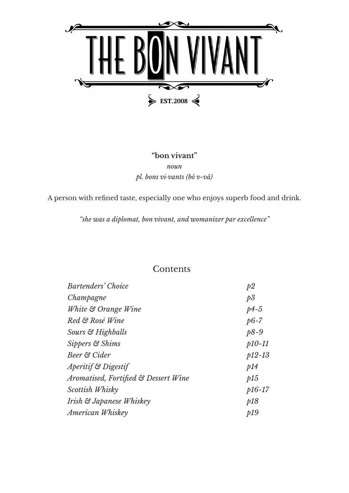

### **"bon vivant"** *noun pl. bons vi·vants (bô v-vä)*

A person with refined taste, especially one who enjoys superb food and drink.

*"she was a diplomat, bon vivant, and womanizer par excellence"*

### Contents

| Bartenders' Choice                   | p2       |
|--------------------------------------|----------|
| Champagne                            | p3       |
| White & Orange Wine                  | $p4-5$   |
| Red & Rosé Wine                      | $p6-7$   |
| Sours & Highballs                    | $p8-9$   |
| Sippers & Shims                      | $p10-11$ |
| Beer & Cider                         | $p12-13$ |
| <i>Aperitif</i> & Digestif           | p14      |
| Aromatised, Fortified & Dessert Wine | p15      |
| Scottish Whisky                      | $p16-17$ |
| Irish & Japanese Whiskey             | p18      |
| American Whiskey                     | p19      |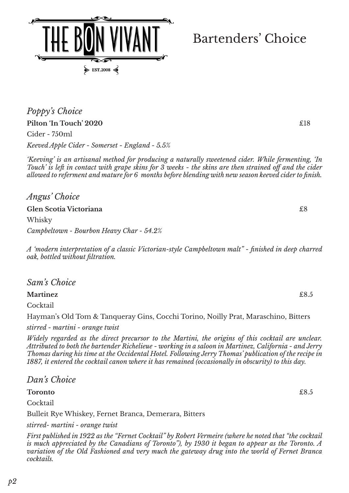*Poppy's Choice*  **Pilton 'In Touch' 2020 E18** Cider - 750ml *Keeved Apple Cider - Somerset - England - 5.5%*

 $\blacktriangleright$  EST.2008

*'Keeving' is an artisanal method for producing a naturally sweetened cider. While fermenting, 'In Touch' is left in contact with grape skins for 3 weeks - the skins are then strained off and the cider allowed to referment and mature for 6 months before blending with new season keeved cider to finish.*

*Angus' Choice*

**Glen Scotia Victoriana** £8

Whisky

### *Campbeltown - Bourbon Heavy Char - 54.2%*

*A 'modern interpretation of a classic Victorian-style Campbeltown malt" - finished in deep charred oak, bottled without filtration.*

*Sam's Choice*

**Martinez** £8.5

Cocktail

Hayman's Old Tom & Tanqueray Gins, Cocchi Torino, Noilly Prat, Maraschino, Bitters

*stirred - martini - orange twist*

*Widely regarded as the direct precursor to the Martini, the origins of this cocktail are unclear. Attributed to both the bartender Richelieue - working in a saloon in Martinez, California - and Jerry Thomas during his time at the Occidental Hotel. Following Jerry Thomas' publication of the recipe in 1887, it entered the cocktail canon where it has remained (occasionally in obscurity) to this day.* 

*Dan's Choice*

**Toronto** £8.5

Cocktail

Bulleit Rye Whiskey, Fernet Branca, Demerara, Bitters

*stirred- martini - orange twist*

*First published in 1922 as the "Fernet Cocktail" by Robert Vermeire (where he noted that "the cocktail is much appreciated by the Canadians of Toronto"), by 1930 it began to appear as the Toronto. A*  variation of the Old Fashioned and very much the gateway drug into the world of Fernet Branca *cocktails.*

# Bartenders' Choice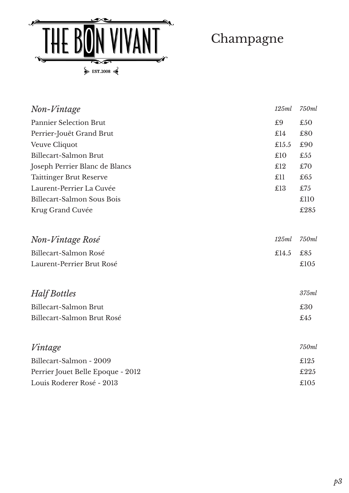

Champagne

| Non-Vintage                       | 125ml | 750ml |
|-----------------------------------|-------|-------|
| <b>Pannier Selection Brut</b>     | £9    | £50   |
| Perrier-Jouët Grand Brut          | £14   | £80   |
| Veuve Cliquot                     | £15.5 | £90   |
| Billecart-Salmon Brut             | £10   | £55   |
| Joseph Perrier Blanc de Blancs    | £12   | £70   |
| <b>Taittinger Brut Reserve</b>    | £11   | £65   |
| Laurent-Perrier La Cuvée          | £13   | £75   |
| Billecart-Salmon Sous Bois        |       | £110  |
| Krug Grand Cuvée                  |       | £285  |
|                                   |       |       |
| Non-Vintage Rosé                  | 125ml | 750ml |
| Billecart-Salmon Rosé             | £14.5 | £85   |
| Laurent-Perrier Brut Rosé         |       | £105  |
|                                   |       |       |
| Half Bottles                      |       | 375ml |
| <b>Billecart-Salmon Brut</b>      |       | £30   |
| Billecart-Salmon Brut Rosé        |       | £45   |
|                                   |       |       |
| Vintage                           |       | 750ml |
| Billecart-Salmon - 2009           |       | £125  |
| Perrier Jouet Belle Epoque - 2012 |       | £225  |
| Louis Roderer Rosé - 2013         |       | £105  |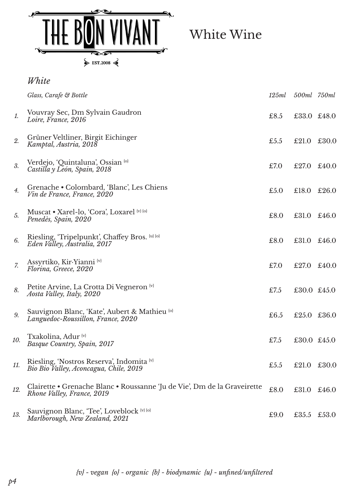

White Wine

|                | White                                                                                                  |       |             |       |
|----------------|--------------------------------------------------------------------------------------------------------|-------|-------------|-------|
|                | Glass, Carafe & Bottle                                                                                 | 125ml | 500ml 750ml |       |
| 1.             | Vouvray Sec, Dm Sylvain Gaudron<br>Loire, France, 2016                                                 | £8.5  | £33.0 £48.0 |       |
| 2.             | Grüner Veltliner, Birgit Eichinger<br>Kamptal, Austria, 2018                                           | £5.5  | £21.0       | £30.0 |
| 3.             | Verdejo, 'Quintaluna', Ossian (o)<br>Castilla y León, Spain, 2018                                      | £7.0  | £27.0       | £40.0 |
| 4.             | Grenache • Colombard, 'Blanc', Les Chiens<br>Vin de France, France, 2020                               | £5.0  | £18.0       | £26.0 |
| 5.             | Muscat • Xarel-lo, 'Cora', Loxarel (v) {0}<br>Penedès, Spain, 2020                                     | £8.0  | £31.0       | £46.0 |
| 6.             | Riesling, 'Tripelpunkt', Chaffey Bros. [u] [o]<br>Eden Valley, Australia, 2017                         | £8.0  | £31.0       | £46.0 |
| $\overline{z}$ | Assyrtiko, Kir-Yianni (v)<br>Florina, Greece, 2020                                                     | £7.0  | £27.0       | £40.0 |
| 8.             | Petite Arvine, La Crotta Di Vegneron (v)<br>Aosta Valley, Italy, 2020                                  | £7.5  | £30.0 £45.0 |       |
| 9.             | Sauvignon Blanc, 'Kate', Aubert & Mathieu (o)<br>Languedoc-Roussillon, France, 2020                    | £6.5  | £25.0 £36.0 |       |
| 10.            | Txakolina, Adur <sup>{v}</sup><br>Basque Country, Spain, 2017                                          | £7.5  | £30.0 £45.0 |       |
| 11.            | Riesling, 'Nostros Reserva', Indomita (v)<br>Bio Bio Valley, Aconcagua, Chile, 2019                    | £5.5  | £21.0       | £30.0 |
| 12.            | Clairette • Grenache Blanc • Roussanne 'Ju de Vie', Dm de la Graveirette<br>Rhone Valley, France, 2019 | £8.0  | £31.0       | £46.0 |
| 13.            | Sauvignon Blanc, 'Tee', Loveblock [v] [o]<br>Marlborough, New Zealand, 2021                            | £9.0  | £35.5       | £53.0 |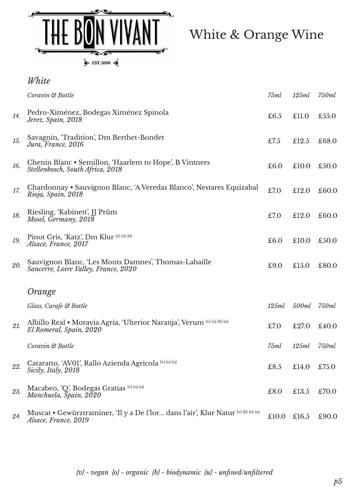

White & Orange Wine

|     | White                                                                                                     |       |       |       |
|-----|-----------------------------------------------------------------------------------------------------------|-------|-------|-------|
|     | Coravin & Bottle                                                                                          | 75ml  | 125ml | 750ml |
| 14. | Pedro-Ximénez, Bodegas Ximénez Spinola<br>Jerez, Spain, 2018                                              | £6.5  | £11.0 | £55.0 |
| 15. | Savagnin, 'Tradition', Dm Berthet-Bondet<br>Jura, France, 2016                                            | £7.5  | £12.5 | £68.0 |
| 16. | Chenin Blanc • Semillon, 'Haarlem to Hope', B Vintners<br>Stellenbosch, South Africa, 2018                | £6.0  | £10.0 | £50.0 |
| 17. | Chardonnay • Sauvignon Blanc, 'A Veredas Blanco', Nestares Equizabal<br>Rioja, Spain, 2018                | £7.0  | £12.0 | £60.0 |
| 18. | Riesling, 'Kabinett', JJ Prüm<br>Mosel, Germany, 2018                                                     | £7.0  | £12.0 | £60.0 |
| 19. | Pinot Gris, 'Katz', Dm Klur (v) (o) (b)<br>Alsace, France, 2017                                           | £6.0  | £10.0 | £50.0 |
| 20. | Sauvignon Blanc, 'Les Monts Damnes', Thomas-Labaille<br>Sancerre, Loire Valley, France, 2020              | £9.0  | £15.0 | £80.0 |
|     | Orange                                                                                                    |       |       |       |
|     | Glass, Carafe & Bottle                                                                                    | 125ml | 500ml | 750ml |
| 21. | Albillo Real • Moravia Agria, 'Ulterior Naranja', Verum (v) (o) {b) {u}<br>El Romeral, Spain, 2020        | £7.0  | £27.0 | £40.0 |
|     | Coravin & Bottle                                                                                          | 75ml  | 125ml | 750ml |
| 22. | Cataratto, 'AV01', Rallo Azienda Agricola (v) (o) (u)<br>Sicily, Italy, 2018                              | £8.5  | £14.0 | £75.0 |
| 23. | Macabeo, 'Q', Bodegas Gratias (v) {0} {u}<br>Manchuela, Spain, 2020                                       | £8.0  | £13.5 | £70.0 |
| 24. | Muscat • Gewürztraminer, 'Il y a De l'Ior dans l'air', Klur Natur (v) (b) (o) (u)<br>Alsace, France, 2019 | £10.0 | £16.5 | £90.0 |

*{v} - vegan {o} - organic {b} - biodynamic {u} - unfined/unfiltered*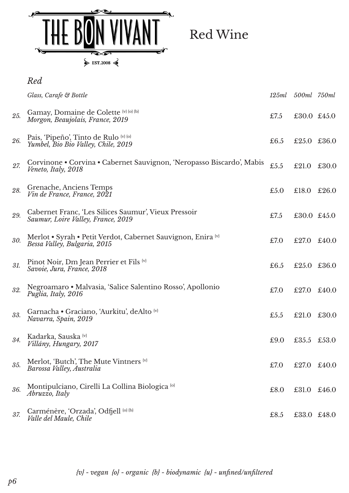

*Red*

Red Wine

|     | Glass, Carafe & Bottle                                                                       | 125ml | 500ml 750ml |       |
|-----|----------------------------------------------------------------------------------------------|-------|-------------|-------|
| 25. | Gamay, Domaine de Colette (v) {0} {b}<br>Morgon, Beaujolais, France, 2019                    | £7.5  | £30.0 £45.0 |       |
| 26. | Pais, 'Pipeño', Tinto de Rulo <sup>{v} {o}</sup><br>Yumbel, Bio Bio Valley, Chile, 2019      | £6.5  | £25.0 £36.0 |       |
| 27. | Corvinone • Corvina • Cabernet Sauvignon, 'Neropasso Biscardo', Mabis<br>Veneto, Italy, 2018 | £5.5  | £21.0       | £30.0 |
| 28. | Grenache, Anciens Temps<br>Vin de France, France, 2021                                       | £5.0  | £18.0       | £26.0 |
| 29. | Cabernet Franc, 'Les Silices Saumur', Vieux Pressoir<br>Saumur, Loire Valley, France, 2019   | £7.5  | £30.0 £45.0 |       |
| 30. | Merlot • Syrah • Petit Verdot, Cabernet Sauvignon, Enira (v)<br>Bessa Valley, Bulgaria, 2015 | £7.0  | £27.0       | £40.0 |
| 31. | Pinot Noir, Dm Jean Perrier et Fils {v}<br>Savoie, Jura, France, 2018                        | £6.5  | £25.0 £36.0 |       |
| 32. | Negroamaro • Malvasia, 'Salice Salentino Rosso', Apollonio<br>Puglia, Italy, 2016            | £7.0  | £27.0       | £40.0 |
| 33. | Garnacha • Graciano, 'Aurkitu', deAlto (v)<br>Navarra, Spain, 2019                           | £5.5  | £21.0       | £30.0 |
| 34. | Kadarka, Sauska (v)<br>Villány, Hungary, 2017                                                | £9.0  | £35.5       | £53.0 |
| 35. | Merlot, 'Butch', The Mute Vintners {v}<br>Barossa Valley, Australia                          | £7.0  | £27.0       | £40.0 |
| 36. | Montipulciano, Cirelli La Collina Biologica <sup>[0]</sup><br>Abruzzo, Italy                 | £8.0  | £31.0       | £46.0 |
| 37. | Carménère, 'Orzada', Odfjell <a>[b]</a><br>Valle del Maule, Chile                            | £8.5  | £33.0 £48.0 |       |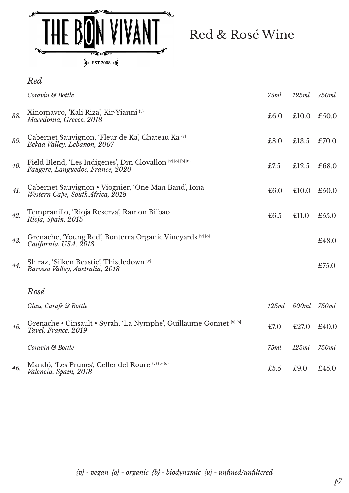

Red & Rosé Wine

|     | Red                                                                                            |       |       |       |
|-----|------------------------------------------------------------------------------------------------|-------|-------|-------|
|     | Coravin & Bottle                                                                               | 75ml  | 125ml | 750ml |
| 38. | Xinomavro, 'Kali Riza', Kir-Yianni (v)<br>Macedonia, Greece, 2018                              | £6.0  | £10.0 | £50.0 |
| 39. | Cabernet Sauvignon, 'Fleur de Ka', Chateau Ka (v)<br>Bekaa Valley, Lebanon, 2007               | £8.0  | £13.5 | £70.0 |
| 40. | Field Blend, 'Les Indigenes', Dm Clovallon (v) (o) (b) (u)<br>Faugere, Languedoc, France, 2020 | £7.5  | £12.5 | £68.0 |
| 41. | Cabernet Sauvignon • Viognier, 'One Man Band', Iona<br>Western Cape, South Africa, 2018        | £6.0  | £10.0 | £50.0 |
| 42. | Tempranillo, 'Rioja Reserva', Ramon Bilbao<br>Rioja, Spain, 2015                               | £6.5  | £11.0 | £55.0 |
| 43. | Grenache, 'Young Red', Bonterra Organic Vineyards [v] [o]<br>California, USA, 2018             |       |       | £48.0 |
| 44. | Shiraz, 'Silken Beastie', Thistledown (v)<br>Barossa Valley, Australia, 2018                   |       |       | £75.0 |
|     | Rosé                                                                                           |       |       |       |
|     | Glass, Carafe & Bottle                                                                         | 125ml | 500ml | 750ml |
| 45. | Grenache • Cinsault • Syrah, 'La Nymphe', Guillaume Gonnet (v) {b}<br>Tavel, France, 2019      | £7.0  | £27.0 | £40.0 |
|     | Coravin & Bottle                                                                               | 75ml  | 125ml | 750ml |
| 46. | Mandó, 'Les Prunes', Celler del Roure (v) (b) (o)<br>Valencia, Spain, 2018                     | £5.5  | £9.0  | £45.0 |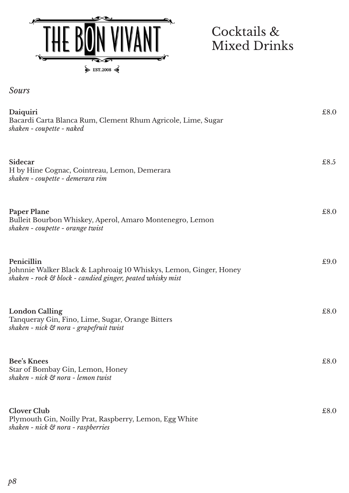

## Cocktails & Mixed Drinks

*Sours*

| Daiquiri<br>Bacardi Carta Blanca Rum, Clement Rhum Agricole, Lime, Sugar<br>shaken - coupette - naked                                         | £8.0 |
|-----------------------------------------------------------------------------------------------------------------------------------------------|------|
| Sidecar<br>H by Hine Cognac, Cointreau, Lemon, Demerara<br>shaken - coupette - demerara rim                                                   | £8.5 |
| <b>Paper Plane</b><br>Bulleit Bourbon Whiskey, Aperol, Amaro Montenegro, Lemon<br>shaken - coupette - orange twist                            | £8.0 |
| Penicillin<br>Johnnie Walker Black & Laphroaig 10 Whiskys, Lemon, Ginger, Honey<br>shaken - rock & block - candied ginger, peated whisky mist | £9.0 |
| <b>London Calling</b><br>Tanqueray Gin, Fino, Lime, Sugar, Orange Bitters<br>shaken - nick & nora - grapefruit twist                          | £8.0 |
| <b>Bee's Knees</b><br>Star of Bombay Gin, Lemon, Honey<br>shaken - nick & nora - lemon twist                                                  | £8.0 |
| <b>Clover Club</b><br>Plymouth Gin, Noilly Prat, Raspberry, Lemon, Egg White<br>shaken - nick $\mathfrak S$ nora - raspberries                | £8.0 |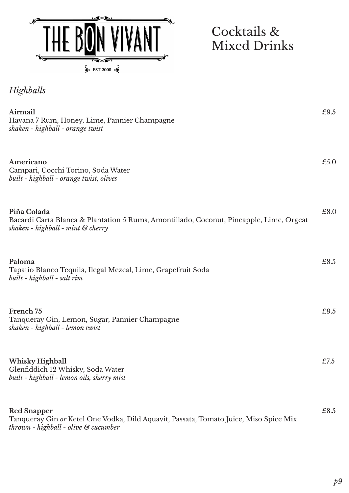

Cocktails & Mixed Drinks

*Highballs*

| Airmail<br>Havana 7 Rum, Honey, Lime, Pannier Champagne<br>shaken - highball - orange twist                                                            | £9.5 |
|--------------------------------------------------------------------------------------------------------------------------------------------------------|------|
| Americano<br>Campari, Cocchi Torino, Soda Water<br>built - highball - orange twist, olives                                                             | £5.0 |
| Piña Colada<br>Bacardi Carta Blanca & Plantation 5 Rums, Amontillado, Coconut, Pineapple, Lime, Orgeat<br>shaken - highball - mint $\mathcal G$ cherry | £8.0 |
| Paloma<br>Tapatio Blanco Tequila, Ilegal Mezcal, Lime, Grapefruit Soda<br>built - highball - salt rim                                                  | £8.5 |
| French 75<br>Tanqueray Gin, Lemon, Sugar, Pannier Champagne<br>shaken - highball - lemon twist                                                         | £9.5 |
| <b>Whisky Highball</b><br>Glenfiddich 12 Whisky, Soda Water<br>built - highball - lemon oils, sherry mist                                              | £7.5 |
| <b>Red Snapper</b><br>Tanqueray Gin or Ketel One Vodka, Dild Aquavit, Passata, Tomato Juice, Miso Spice Mix<br>thrown - highball - olive & cucumber    | £8.5 |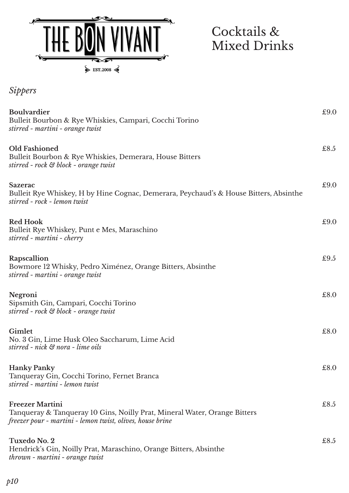

Cocktails & Mixed Drinks

| <b>Sippers</b>                                                                                                                                                   |      |
|------------------------------------------------------------------------------------------------------------------------------------------------------------------|------|
| <b>Boulvardier</b><br>Bulleit Bourbon & Rye Whiskies, Campari, Cocchi Torino<br>stirred - martini - orange twist                                                 | £9.0 |
| <b>Old Fashioned</b><br>Bulleit Bourbon & Rye Whiskies, Demerara, House Bitters<br>stirred - rock & block - orange twist                                         | £8.5 |
| <b>Sazerac</b><br>Bulleit Rye Whiskey, H by Hine Cognac, Demerara, Peychaud's & House Bitters, Absinthe<br>stirred - rock - lemon twist                          | £9.0 |
| <b>Red Hook</b><br>Bulleit Rye Whiskey, Punt e Mes, Maraschino<br>stirred - martini - cherry                                                                     | £9.0 |
| Rapscallion<br>Bowmore 12 Whisky, Pedro Ximénez, Orange Bitters, Absinthe<br>stirred - martini - orange twist                                                    | £9.5 |
| Negroni<br>Sipsmith Gin, Campari, Cocchi Torino<br>stirred - rock & block - orange twist                                                                         | £8.0 |
| Gimlet<br>No. 3 Gin, Lime Husk Oleo Saccharum, Lime Acid<br>stirred - nick & nora - lime oils                                                                    | £8.0 |
| <b>Hanky Panky</b><br>Tanqueray Gin, Cocchi Torino, Fernet Branca<br>stirred - martini - lemon twist                                                             | £8.0 |
| <b>Freezer Martini</b><br>Tanqueray & Tanqueray 10 Gins, Noilly Prat, Mineral Water, Orange Bitters<br>freezer pour - martini - lemon twist, olives, house brine | £8.5 |
| <b>Tuxedo No. 2</b><br>Hendrick's Gin, Noilly Prat, Maraschino, Orange Bitters, Absinthe<br>thrown - martini - orange twist                                      | £8.5 |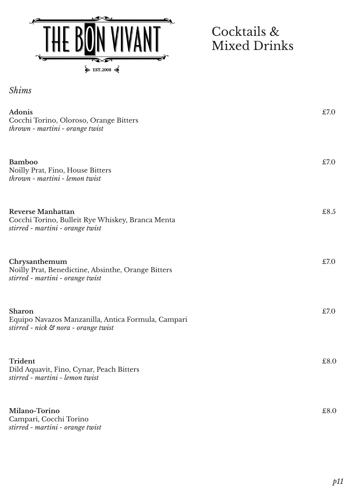

 $\triangleright$  EST.2008

## Cocktails & Mixed Drinks

| <b>Shims</b> |
|--------------|
|              |
|              |

| <b>Adonis</b><br>Cocchi Torino, Oloroso, Orange Bitters<br>thrown - martini - orange twist                       | £7.0 |
|------------------------------------------------------------------------------------------------------------------|------|
| <b>Bamboo</b><br>Noilly Prat, Fino, House Bitters<br>thrown - martini - lemon twist                              | £7.0 |
| <b>Reverse Manhattan</b><br>Cocchi Torino, Bulleit Rye Whiskey, Branca Menta<br>stirred - martini - orange twist | £8.5 |
| Chrysanthemum<br>Noilly Prat, Benedictine, Absinthe, Orange Bitters<br>stirred - martini - orange twist          | £7.0 |
| Sharon<br>Equipo Navazos Manzanilla, Antica Formula, Campari<br>stirred - nick & nora - orange twist             | £7.0 |
| <b>Trident</b><br>Dild Aquavit, Fino, Cynar, Peach Bitters<br>stirred - martini - lemon twist                    | £8.0 |
| Milano-Torino<br>Campari, Cocchi Torino<br>stirred - martini - orange twist                                      | £8.0 |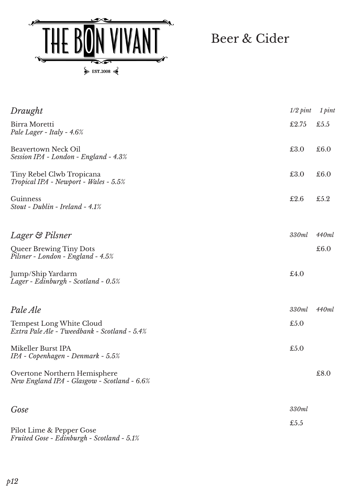

Beer & Cider

| Draught                                                                         | $1/2$ pint | 1 pint |
|---------------------------------------------------------------------------------|------------|--------|
| Birra Moretti<br>Pale Lager - Italy - 4.6%                                      | £2.75      | £5.5   |
| <b>Beavertown Neck Oil</b><br>Session IPA - London - England - 4.3%             | £3.0       | £6.0   |
| Tiny Rebel Clwb Tropicana<br>Tropical IPA - Newport - Wales - 5.5%              | £3.0       | £6.0   |
| Guinness<br>Stout - Dublin - Ireland - 4.1%                                     | £2.6       | £5.2   |
| Lager & Pilsner                                                                 | 330ml      | 440ml  |
| Queer Brewing Tiny Dots<br>Pilsner - London - England - 4.5%                    |            | £6.0   |
| Jump/Ship Yardarm<br>Lager - Edinburgh - Scotland - 0.5%                        | £4.0       |        |
| Pale Ale                                                                        | 330ml      | 440ml  |
| <b>Tempest Long White Cloud</b><br>Extra Pale Ale - Tweedbank - Scotland - 5.4% | £5.0       |        |
| Mikeller Burst IPA<br>$IPA$ - Copenhagen - Denmark - 5.5%                       | £5.0       |        |
| Overtone Northern Hemisphere<br>New England IPA - Glasgow - Scotland - 6.6%     |            | £8.0   |
| Gose                                                                            | 330ml      |        |
| Pilot Lime & Pepper Gose<br>Fruited Gose - Edinburgh - Scotland - 5.1%          | £5.5       |        |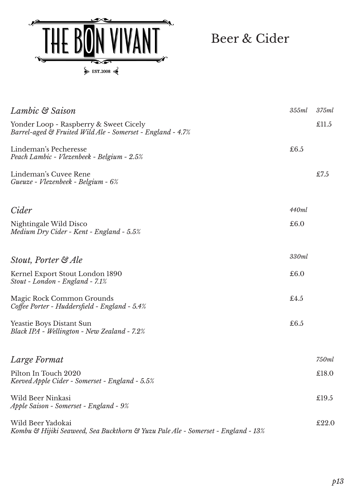

Beer & Cider

| Lambic & Saison                                                                                       | 355ml | 375ml |
|-------------------------------------------------------------------------------------------------------|-------|-------|
| Yonder Loop - Raspberry & Sweet Cicely<br>Barrel-aged & Fruited Wild Ale - Somerset - England - 4.7%  |       | £11.5 |
| Lindeman's Pecheresse<br>Peach Lambic - Vlezenbeek - Belgium - 2.5%                                   | £6.5  |       |
| Lindeman's Cuvee Rene<br>Gueuze - Vlezenbeek - Belgium - 6%                                           |       | £7.5  |
| Cider                                                                                                 | 440ml |       |
| Nightingale Wild Disco<br>Medium Dry Cider - Kent - England - 5.5%                                    | £6.0  |       |
| Stout, Porter & Ale                                                                                   | 330ml |       |
| Kernel Export Stout London 1890<br>$Stout$ - London - England - 7.1%                                  | £6.0  |       |
| Magic Rock Common Grounds<br>Coffee Porter - Huddersfield - England - 5.4%                            | £4.5  |       |
| <b>Yeastie Boys Distant Sun</b><br>Black IPA - Wellington - New Zealand - 7.2%                        | £6.5  |       |
| Large Format                                                                                          |       | 750ml |
| Pilton In Touch 2020<br>Keeved Apple Cider - Somerset - England - 5.5%                                |       | £18.0 |
| Wild Beer Ninkasi<br>Apple Saison - Somerset - England - 9%                                           |       | £19.5 |
| Wild Beer Yadokai<br>Kombu & Hijiki Seaweed, Sea Buckthorn & Yuzu Pale Ale - Somerset - England - 13% |       | £22.0 |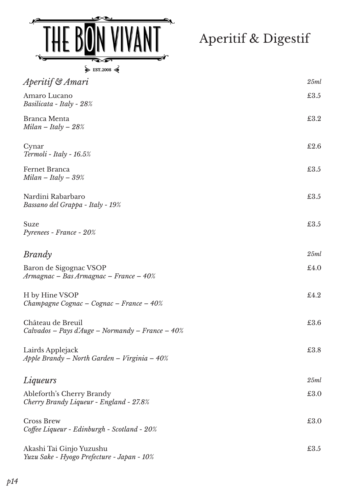

Aperitif & Digestif

| EST 2008 |  |
|----------|--|
|----------|--|

| Aperitif & Amari                                                         | 25ml |
|--------------------------------------------------------------------------|------|
| Amaro Lucano<br>Basilicata - Italy - 28%                                 | £3.5 |
| Branca Menta<br>$Milan - Italy - 28%$                                    | £3.2 |
| Cynar<br>$Termoli$ - Italy - 16.5%                                       | £2.6 |
| Fernet Branca<br>$Milan - Italy - 39%$                                   | £3.5 |
| Nardini Rabarbaro<br>Bassano del Grappa - Italy - 19%                    | £3.5 |
| Suze<br>Pyrenees - France - 20%                                          | £3.5 |
| <b>Brandy</b>                                                            | 25ml |
| Baron de Sigognac VSOP<br>Armagnac - Bas Armagnac - France - 40%         | £4.0 |
| H by Hine VSOP<br>Champagne Cognac – Cognac – France – $40\%$            | £4.2 |
| Château de Breuil<br>Calvados – Pays d'Auge – Normandy – France – $40\%$ | £3.6 |
| Lairds Applejack<br>Apple Brandy – North Garden – Virginia – 40%         | £3.8 |
| Liqueurs                                                                 | 25ml |
| Ableforth's Cherry Brandy<br>Cherry Brandy Liqueur - England - 27.8%     | £3.0 |
| <b>Cross Brew</b><br>Coffee Liqueur - Edinburgh - Scotland - 20%         | £3.0 |
| Akashi Tai Ginjo Yuzushu<br>Yuzu Sake - Hyogo Prefecture - Japan - 10%   | £3.5 |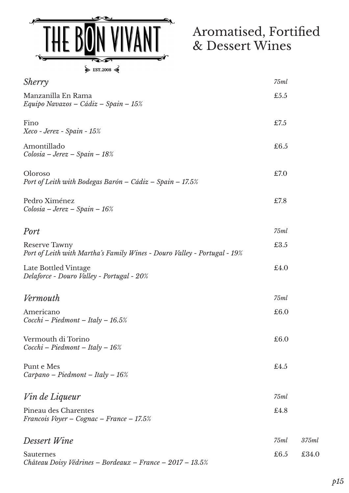

## Aromatised, Fortified & Dessert Wines

| $\blacktriangleright$ restration $\blacktriangleright$                                           |      |       |
|--------------------------------------------------------------------------------------------------|------|-------|
| <i>Sherry</i>                                                                                    | 75ml |       |
| Manzanilla En Rama<br>Equipo Navazos - Cádiz - Spain - 15%                                       | £5.5 |       |
| Fino<br>Xeco - Jerez - Spain - 15%                                                               | £7.5 |       |
| Amontillado<br>Colosia - Jerez - Spain - 18%                                                     | £6.5 |       |
| Oloroso<br>Port of Leith with Bodegas Barón – Cádiz – Spain – 17.5%                              | £7.0 |       |
| Pedro Ximénez<br>$Colosia - Jerez - Spain - 16%$                                                 | £7.8 |       |
| Port                                                                                             | 75ml |       |
| <b>Reserve Tawny</b><br>Port of Leith with Martha's Family Wines - Douro Valley - Portugal - 19% | £3.5 |       |
| Late Bottled Vintage<br>Delaforce - Douro Valley - Portugal - 20%                                | £4.0 |       |
| Vermouth                                                                                         | 75ml |       |
| Americano<br>$Cocchi-Piedmont-Italy-16.5%$                                                       | £6.0 |       |
| Vermouth di Torino<br>$Cocchi-Piedmont-Italy-16%$                                                | £6.0 |       |
| Punt e Mes<br>$Carpano-Piedmont-Italy-16%$                                                       | £4.5 |       |
| Vin de Liqueur                                                                                   | 75ml |       |
| Pineau des Charentes<br>Francois Voyer - Cognac - France - 17.5%                                 | £4.8 |       |
| Dessert Wine                                                                                     | 75ml | 375ml |
| Sauternes                                                                                        | £6.5 | £34.0 |

Sauternes *Château Doisy Védrines – Bordeaux – France – 2017 – 13.5%*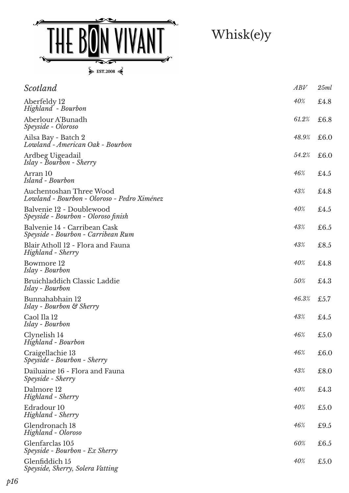

| Scotland                                                               | ABV   | 25ml |
|------------------------------------------------------------------------|-------|------|
| Aberfeldy 12<br>Highland - Bourbon                                     | 40%   | £4.8 |
| Aberlour A'Bunadh<br>Speyside - Oloroso                                | 61.2% | £6.8 |
| Ailsa Bay - Batch 2<br>Lowland - American Oak - Bourbon                | 48.9% | £6.0 |
| Ardbeg Uigeadail<br><i>Islay - Bourbon - Sherry</i>                    | 54.2% | £6.0 |
| Arran 10<br>Island - Bourbon                                           | 46%   | £4.5 |
| Auchentoshan Three Wood<br>Lowland - Bourbon - Oloroso - Pedro Ximénez | 43%   | £4.8 |
| Balvenie 12 - Doublewood<br>Speyside - Bourbon - Oloroso finish        | 40%   | £4.5 |
| Balvenie 14 - Carribean Cask<br>Speyside - Bourbon - Carribean Rum     | 43%   | £6.5 |
| Blair Atholl 12 - Flora and Fauna<br>Highland - Sherry                 | 43%   | £8.5 |
| Bowmore 12<br>Islay - Bourbon                                          | 40%   | £4.8 |
| Bruichladdich Classic Laddie<br>Islay - Bourbon                        | 50%   | £4.3 |
| Bunnahabhain 12<br>Islay - Bourbon & Sherry                            | 46.3% | £5.7 |
| Caol Ila 12<br>Islay - Bourbon                                         | 43%   | £4.5 |
| Clynelish 14<br>Highland - Bourbon                                     | 46%   | £5.0 |
| Craigellachie 13<br>Speyside - Bourbon - Sherry                        | 46%   | £6.0 |
| Dailuaine 16 - Flora and Fauna<br>Speyside - Sherry                    | 43%   | £8.0 |
| Dalmore 12<br>Highland - Sherry                                        | 40%   | £4.3 |
| Edradour 10<br>Highland - Sherry                                       | 40%   | £5.0 |
| Glendronach 18<br>Highland - Oloroso                                   | 46%   | £9.5 |
| Glenfarclas 105<br>Speyside - Bourbon - Ex Sherry                      | 60%   | £6.5 |
| Glenfiddich 15<br>Speyside, Sherry, Solera Vatting                     | 40%   | £5.0 |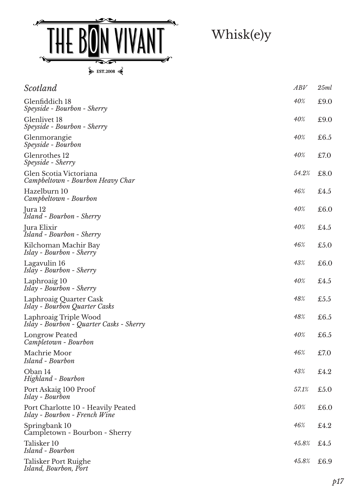

| Scotland                                                            | ABV   | 25ml         |
|---------------------------------------------------------------------|-------|--------------|
| Glenfiddich 18<br>Speyside - Bourbon - Sherry                       | 40%   | £9.0         |
| Glenlivet 18<br>Speyside - Bourbon - Sherry                         | 40%   | £9.0         |
| Glenmorangie<br>Speyside - Bourbon                                  | 40%   | £6.5         |
| Glenrothes 12<br>Speyside - Sherry                                  | 40%   | £7.0         |
| Glen Scotia Victoriana<br>Campbeltown - Bourbon Heavy Char          | 54.2% | £8.0         |
| Hazelburn 10<br>Campbeltown - Bourbon                               | 46%   | £4.5         |
| Jura 12<br>Island - Bourbon - Sherry                                | 40%   | £6.0         |
| Jura Elixir<br>Island - Bourbon - Sherry                            | 40%   | $\pounds4.5$ |
| Kilchoman Machir Bay<br>Islay - Bourbon - Sherry                    | 46%   | £5.0         |
| Lagavulin 16<br>Islay - Bourbon - Sherry                            | 43%   | £6.0         |
| Laphroaig 10<br>Islay - Bourbon - Sherry                            | 40%   | £4.5         |
| Laphroaig Quarter Cask<br>Islay - Bourbon Quarter Casks             | 48%   | £5.5         |
| Laphroaig Triple Wood<br>Islay - Bourbon - Quarter Casks - Sherry   | 48%   | £6.5         |
| <b>Longrow Peated</b><br>Campletown - Bourbon                       | 40%   | £6.5         |
| Machrie Moor<br>Island - Bourbon                                    | 46%   | £7.0         |
| Oban 14<br>Highland - Bourbon                                       | 43%   | £4.2         |
| Port Askaig 100 Proof<br>Islay - Bourbon                            | 57.1% | £5.0         |
| Port Charlotte 10 - Heavily Peated<br>Islay - Bourbon - French Wine | 50%   | £6.0         |
| Springbank 10<br>Campletown - Bourbon - Sherry                      | 46%   | £4.2         |
| Talisker 10<br>Island - Bourbon                                     | 45.8% | £4.5         |
| Talisker Port Ruighe<br>Island, Bourbon, Port                       | 45.8% | £6.9         |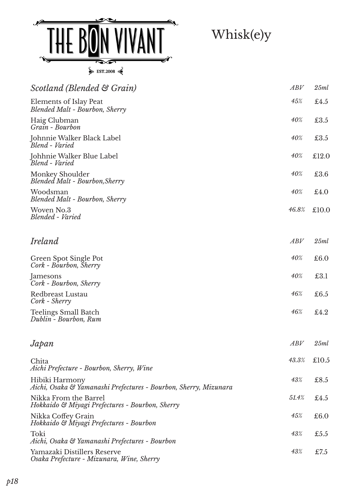

| Scotland (Blended & Grain)                                                         | ABV   | 25ml  |
|------------------------------------------------------------------------------------|-------|-------|
| Elements of Islay Peat<br><b>Blended Malt - Bourbon, Sherry</b>                    | 45%   | £4.5  |
| Haig Clubman<br>Grain - Bourbon                                                    | 40%   | £3.5  |
| Johnnie Walker Black Label<br>Blend - Varied                                       | 40%   | £3.5  |
| Johhnie Walker Blue Label<br>Blend - Varied                                        | 40%   | £12.0 |
| Monkey Shoulder<br><b>Blended Malt - Bourbon, Sherry</b>                           | 40%   | £3.6  |
| Woodsman<br><b>Blended Malt - Bourbon, Sherry</b>                                  | 40%   | £4.0  |
| Woven No.3<br>Blended - Varied                                                     | 46.8% | £10.0 |
| Ireland                                                                            | ABV   | 25ml  |
| Green Spot Single Pot<br>Cork - Bourbon, Sherry                                    | 40%   | £6.0  |
| Jamesons<br>Cork - Bourbon, Sherry                                                 | 40%   | £3.1  |
| Redbreast Lustau<br>Cork - Sherry                                                  | 46%   | £6.5  |
| <b>Teelings Small Batch</b><br>Dublin - Bourbon, Rum                               | 46%   | £4.2  |
| Japan                                                                              | ABV   | 25ml  |
| Chita<br>Aichi Prefecture - Bourbon, Sherry, Wine                                  | 43.3% | £10.5 |
| Hibiki Harmony<br>Aichi, Osaka & Yamanashi Prefectures - Bourbon, Sherry, Mizunara | 43%   | £8.5  |
| Nikka From the Barrel<br>Hokkaido & Miyagi Prefectures - Bourbon, Sherry           | 51.4% | £4.5  |
| Nikka Coffey Grain<br>Hokkaido & Miyagi Prefectures - Bourbon                      | 45%   | £6.0  |
| Toki<br>Aichi, Osaka & Yamanashi Prefectures - Bourbon                             | 43%   | £5.5  |
| Yamazaki Distillers Reserve                                                        | 43%   | £7.5  |

*Osaka Prefecture - Mizunara, Wine, Sherry*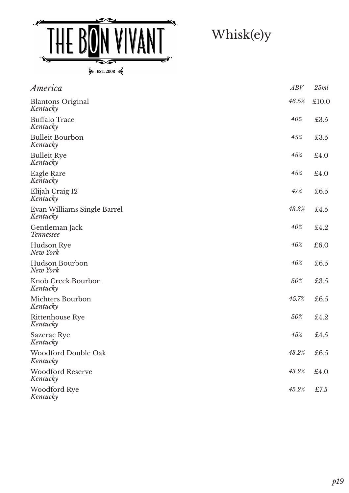

| America                                 | ABV   | 25ml  |
|-----------------------------------------|-------|-------|
| <b>Blantons Original</b><br>Kentucky    | 46.5% | £10.0 |
| <b>Buffalo Trace</b><br>Kentucky        | 40%   | £3.5  |
| <b>Bulleit Bourbon</b><br>Kentucky      | 45%   | £3.5  |
| <b>Bulleit Rye</b><br>Kentucky          | 45%   | £4.0  |
| Eagle Rare<br>Kentucky                  | 45%   | £4.0  |
| Elijah Craig 12<br>Kentucky             | 47%   | £6.5  |
| Evan Williams Single Barrel<br>Kentucky | 43.3% | £4.5  |
| Gentleman Jack<br><b>Tennessee</b>      | 40%   | £4.2  |
| Hudson Rye<br>New York                  | 46%   | £6.0  |
| Hudson Bourbon<br>New York              | 46%   | £6.5  |
| Knob Creek Bourbon<br>Kentucky          | 50%   | £3.5  |
| Michters Bourbon<br>Kentucky            | 45.7% | £6.5  |
| Rittenhouse Rye<br>Kentucky             | 50%   | £4.2  |
| Sazerac Rye<br>Kentucky                 | 45%   | £4.5  |
| Woodford Double Oak<br>Kentucky         | 43.2% | £6.5  |
| <b>Woodford Reserve</b><br>Kentucky     | 43.2% | £4.0  |
| Woodford Rye<br>Kentucky                | 45.2% | £7.5  |